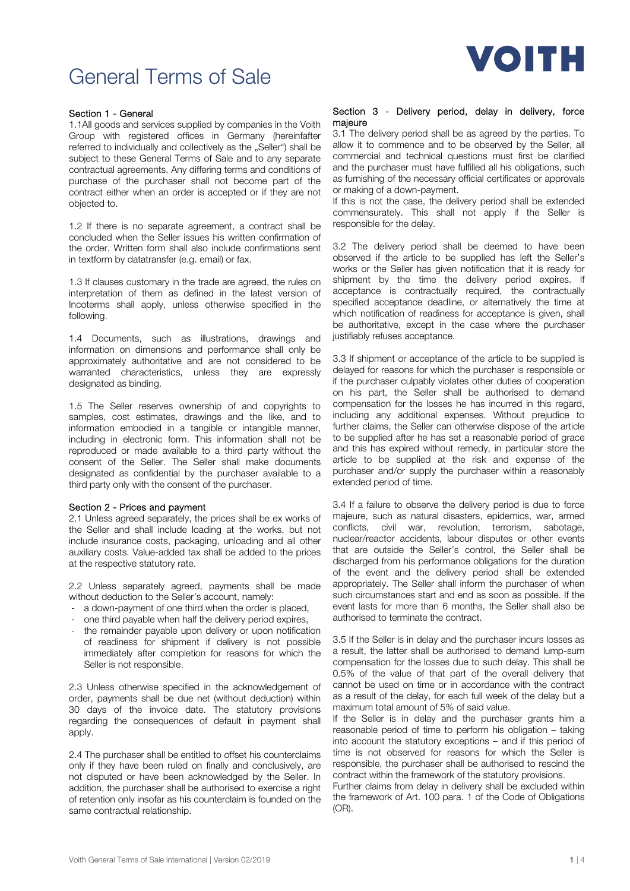

# General Terms of Sale

## Section 1 - General

1.1All goods and services supplied by companies in the Voith Group with registered offices in Germany (hereinfafter referred to individually and collectively as the "Seller") shall be subject to these General Terms of Sale and to any separate contractual agreements. Any differing terms and conditions of purchase of the purchaser shall not become part of the contract either when an order is accepted or if they are not objected to.

1.2 If there is no separate agreement, a contract shall be concluded when the Seller issues his written confirmation of the order. Written form shall also include confirmations sent in textform by datatransfer (e.g. email) or fax.

1.3 If clauses customary in the trade are agreed, the rules on interpretation of them as defined in the latest version of Incoterms shall apply, unless otherwise specified in the following.

1.4 Documents, such as illustrations, drawings and information on dimensions and performance shall only be approximately authoritative and are not considered to be warranted characteristics, unless they are expressly designated as binding.

1.5 The Seller reserves ownership of and copyrights to samples, cost estimates, drawings and the like, and to information embodied in a tangible or intangible manner, including in electronic form. This information shall not be reproduced or made available to a third party without the consent of the Seller. The Seller shall make documents designated as confidential by the purchaser available to a third party only with the consent of the purchaser.

#### Section 2 - Prices and payment

2.1 Unless agreed separately, the prices shall be ex works of the Seller and shall include loading at the works, but not include insurance costs, packaging, unloading and all other auxiliary costs. Value-added tax shall be added to the prices at the respective statutory rate.

2.2 Unless separately agreed, payments shall be made without deduction to the Seller's account, namely:

- a down-payment of one third when the order is placed,
- one third payable when half the delivery period expires,
- the remainder payable upon delivery or upon notification of readiness for shipment if delivery is not possible immediately after completion for reasons for which the Seller is not responsible.

2.3 Unless otherwise specified in the acknowledgement of order, payments shall be due net (without deduction) within 30 days of the invoice date. The statutory provisions regarding the consequences of default in payment shall apply.

2.4 The purchaser shall be entitled to offset his counterclaims only if they have been ruled on finally and conclusively, are not disputed or have been acknowledged by the Seller. In addition, the purchaser shall be authorised to exercise a right of retention only insofar as his counterclaim is founded on the same contractual relationship.

#### Section 3 - Delivery period, delay in delivery, force majeure

3.1 The delivery period shall be as agreed by the parties. To allow it to commence and to be observed by the Seller, all commercial and technical questions must first be clarified and the purchaser must have fulfilled all his obligations, such as furnishing of the necessary official certificates or approvals or making of a down-payment.

If this is not the case, the delivery period shall be extended commensurately. This shall not apply if the Seller is responsible for the delay.

3.2 The delivery period shall be deemed to have been observed if the article to be supplied has left the Seller's works or the Seller has given notification that it is ready for shipment by the time the delivery period expires. If acceptance is contractually required, the contractually specified acceptance deadline, or alternatively the time at which notification of readiness for acceptance is given, shall be authoritative, except in the case where the purchaser justifiably refuses acceptance.

3.3 If shipment or acceptance of the article to be supplied is delayed for reasons for which the purchaser is responsible or if the purchaser culpably violates other duties of cooperation on his part, the Seller shall be authorised to demand compensation for the losses he has incurred in this regard, including any additional expenses. Without prejudice to further claims, the Seller can otherwise dispose of the article to be supplied after he has set a reasonable period of grace and this has expired without remedy, in particular store the article to be supplied at the risk and expense of the purchaser and/or supply the purchaser within a reasonably extended period of time.

3.4 If a failure to observe the delivery period is due to force majeure, such as natural disasters, epidemics, war, armed conflicts, civil war, revolution, terrorism, sabotage, nuclear/reactor accidents, labour disputes or other events that are outside the Seller's control, the Seller shall be discharged from his performance obligations for the duration of the event and the delivery period shall be extended appropriately. The Seller shall inform the purchaser of when such circumstances start and end as soon as possible. If the event lasts for more than 6 months, the Seller shall also be authorised to terminate the contract.

3.5 If the Seller is in delay and the purchaser incurs losses as a result, the latter shall be authorised to demand lump-sum compensation for the losses due to such delay. This shall be 0.5% of the value of that part of the overall delivery that cannot be used on time or in accordance with the contract as a result of the delay, for each full week of the delay but a maximum total amount of 5% of said value.

If the Seller is in delay and the purchaser grants him a reasonable period of time to perform his obligation – taking into account the statutory exceptions – and if this period of time is not observed for reasons for which the Seller is responsible, the purchaser shall be authorised to rescind the contract within the framework of the statutory provisions.

Further claims from delay in delivery shall be excluded within the framework of Art. 100 para. 1 of the Code of Obligations (OR).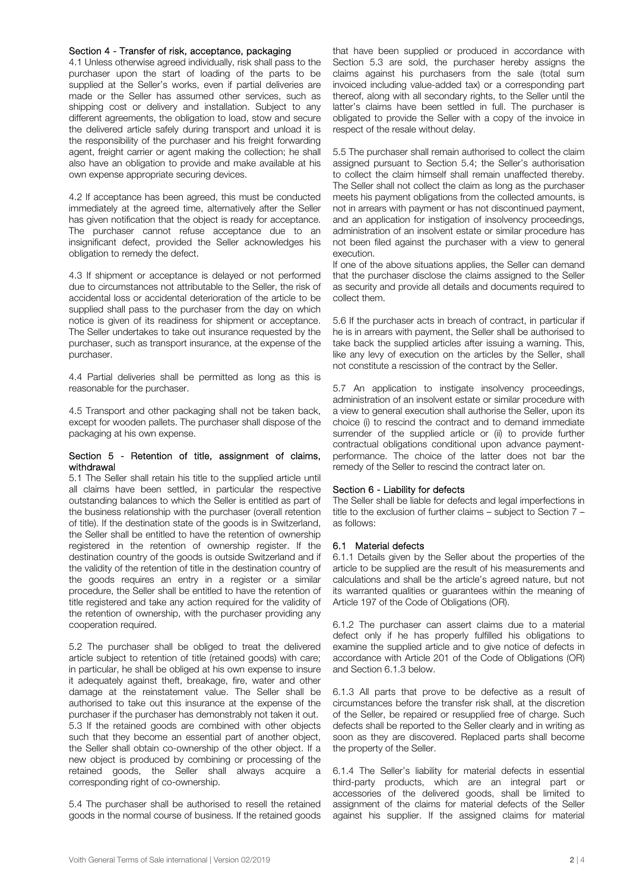#### Section 4 - Transfer of risk, acceptance, packaging

4.1 Unless otherwise agreed individually, risk shall pass to the purchaser upon the start of loading of the parts to be supplied at the Seller's works, even if partial deliveries are made or the Seller has assumed other services, such as shipping cost or delivery and installation. Subject to any different agreements, the obligation to load, stow and secure the delivered article safely during transport and unload it is the responsibility of the purchaser and his freight forwarding agent, freight carrier or agent making the collection; he shall also have an obligation to provide and make available at his own expense appropriate securing devices.

4.2 If acceptance has been agreed, this must be conducted immediately at the agreed time, alternatively after the Seller has given notification that the object is ready for acceptance. The purchaser cannot refuse acceptance due to an insignificant defect, provided the Seller acknowledges his obligation to remedy the defect.

4.3 If shipment or acceptance is delayed or not performed due to circumstances not attributable to the Seller, the risk of accidental loss or accidental deterioration of the article to be supplied shall pass to the purchaser from the day on which notice is given of its readiness for shipment or acceptance. The Seller undertakes to take out insurance requested by the purchaser, such as transport insurance, at the expense of the purchaser.

4.4 Partial deliveries shall be permitted as long as this is reasonable for the purchaser.

4.5 Transport and other packaging shall not be taken back, except for wooden pallets. The purchaser shall dispose of the packaging at his own expense.

#### Section 5 - Retention of title, assignment of claims, withdrawal

5.1 The Seller shall retain his title to the supplied article until all claims have been settled, in particular the respective outstanding balances to which the Seller is entitled as part of the business relationship with the purchaser (overall retention of title). If the destination state of the goods is in Switzerland, the Seller shall be entitled to have the retention of ownership registered in the retention of ownership register. If the destination country of the goods is outside Switzerland and if the validity of the retention of title in the destination country of the goods requires an entry in a register or a similar procedure, the Seller shall be entitled to have the retention of title registered and take any action required for the validity of the retention of ownership, with the purchaser providing any cooperation required.

5.2 The purchaser shall be obliged to treat the delivered article subject to retention of title (retained goods) with care; in particular, he shall be obliged at his own expense to insure it adequately against theft, breakage, fire, water and other damage at the reinstatement value. The Seller shall be authorised to take out this insurance at the expense of the purchaser if the purchaser has demonstrably not taken it out. 5.3 If the retained goods are combined with other objects such that they become an essential part of another object, the Seller shall obtain co-ownership of the other object. If a new object is produced by combining or processing of the retained goods, the Seller shall always acquire a corresponding right of co-ownership.

5.4 The purchaser shall be authorised to resell the retained goods in the normal course of business. If the retained goods that have been supplied or produced in accordance with Section 5.3 are sold, the purchaser hereby assigns the claims against his purchasers from the sale (total sum invoiced including value-added tax) or a corresponding part thereof, along with all secondary rights, to the Seller until the latter's claims have been settled in full. The purchaser is obligated to provide the Seller with a copy of the invoice in respect of the resale without delay.

5.5 The purchaser shall remain authorised to collect the claim assigned pursuant to Section 5.4; the Seller's authorisation to collect the claim himself shall remain unaffected thereby. The Seller shall not collect the claim as long as the purchaser meets his payment obligations from the collected amounts, is not in arrears with payment or has not discontinued payment, and an application for instigation of insolvency proceedings, administration of an insolvent estate or similar procedure has not been filed against the purchaser with a view to general execution.

If one of the above situations applies, the Seller can demand that the purchaser disclose the claims assigned to the Seller as security and provide all details and documents required to collect them.

5.6 If the purchaser acts in breach of contract, in particular if he is in arrears with payment, the Seller shall be authorised to take back the supplied articles after issuing a warning. This, like any levy of execution on the articles by the Seller, shall not constitute a rescission of the contract by the Seller.

5.7 An application to instigate insolvency proceedings, administration of an insolvent estate or similar procedure with a view to general execution shall authorise the Seller, upon its choice (i) to rescind the contract and to demand immediate surrender of the supplied article or (ii) to provide further contractual obligations conditional upon advance paymentperformance. The choice of the latter does not bar the remedy of the Seller to rescind the contract later on.

#### Section 6 - Liability for defects

The Seller shall be liable for defects and legal imperfections in title to the exclusion of further claims – subject to Section 7 – as follows:

#### 6.1 Material defects

6.1.1 Details given by the Seller about the properties of the article to be supplied are the result of his measurements and calculations and shall be the article's agreed nature, but not its warranted qualities or guarantees within the meaning of Article 197 of the Code of Obligations (OR).

6.1.2 The purchaser can assert claims due to a material defect only if he has properly fulfilled his obligations to examine the supplied article and to give notice of defects in accordance with Article 201 of the Code of Obligations (OR) and Section 6.1.3 below.

6.1.3 All parts that prove to be defective as a result of circumstances before the transfer risk shall, at the discretion of the Seller, be repaired or resupplied free of charge. Such defects shall be reported to the Seller clearly and in writing as soon as they are discovered. Replaced parts shall become the property of the Seller.

6.1.4 The Seller's liability for material defects in essential third-party products, which are an integral part or accessories of the delivered goods, shall be limited to assignment of the claims for material defects of the Seller against his supplier. If the assigned claims for material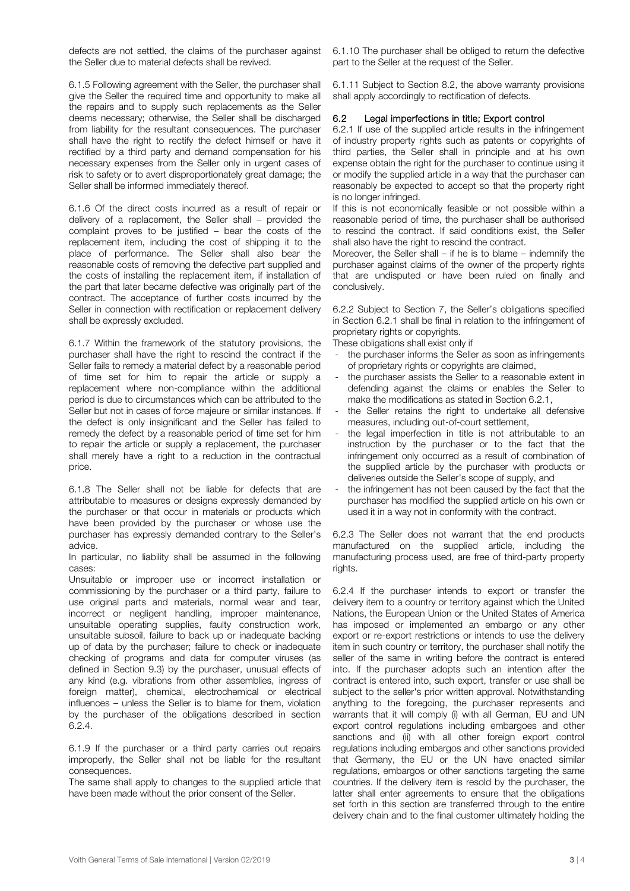defects are not settled, the claims of the purchaser against the Seller due to material defects shall be revived.

6.1.5 Following agreement with the Seller, the purchaser shall give the Seller the required time and opportunity to make all the repairs and to supply such replacements as the Seller deems necessary; otherwise, the Seller shall be discharged from liability for the resultant consequences. The purchaser shall have the right to rectify the defect himself or have it rectified by a third party and demand compensation for his necessary expenses from the Seller only in urgent cases of risk to safety or to avert disproportionately great damage; the Seller shall be informed immediately thereof.

6.1.6 Of the direct costs incurred as a result of repair or delivery of a replacement, the Seller shall – provided the complaint proves to be justified – bear the costs of the replacement item, including the cost of shipping it to the place of performance. The Seller shall also bear the reasonable costs of removing the defective part supplied and the costs of installing the replacement item, if installation of the part that later became defective was originally part of the contract. The acceptance of further costs incurred by the Seller in connection with rectification or replacement delivery shall be expressly excluded.

6.1.7 Within the framework of the statutory provisions, the purchaser shall have the right to rescind the contract if the Seller fails to remedy a material defect by a reasonable period of time set for him to repair the article or supply a replacement where non-compliance within the additional period is due to circumstances which can be attributed to the Seller but not in cases of force majeure or similar instances. If the defect is only insignificant and the Seller has failed to remedy the defect by a reasonable period of time set for him to repair the article or supply a replacement, the purchaser shall merely have a right to a reduction in the contractual price.

6.1.8 The Seller shall not be liable for defects that are attributable to measures or designs expressly demanded by the purchaser or that occur in materials or products which have been provided by the purchaser or whose use the purchaser has expressly demanded contrary to the Seller's advice.

In particular, no liability shall be assumed in the following cases:

Unsuitable or improper use or incorrect installation or commissioning by the purchaser or a third party, failure to use original parts and materials, normal wear and tear, incorrect or negligent handling, improper maintenance, unsuitable operating supplies, faulty construction work, unsuitable subsoil, failure to back up or inadequate backing up of data by the purchaser; failure to check or inadequate checking of programs and data for computer viruses (as defined in Section 9.3) by the purchaser, unusual effects of any kind (e.g. vibrations from other assemblies, ingress of foreign matter), chemical, electrochemical or electrical influences – unless the Seller is to blame for them, violation by the purchaser of the obligations described in section 6.2.4.

6.1.9 If the purchaser or a third party carries out repairs improperly, the Seller shall not be liable for the resultant consequences.

The same shall apply to changes to the supplied article that have been made without the prior consent of the Seller.

6.1.10 The purchaser shall be obliged to return the defective part to the Seller at the request of the Seller.

6.1.11 Subject to Section 8.2, the above warranty provisions shall apply accordingly to rectification of defects.

# 6.2 Legal imperfections in title; Export control

6.2.1 If use of the supplied article results in the infringement of industry property rights such as patents or copyrights of third parties, the Seller shall in principle and at his own expense obtain the right for the purchaser to continue using it or modify the supplied article in a way that the purchaser can reasonably be expected to accept so that the property right is no longer infringed.

If this is not economically feasible or not possible within a reasonable period of time, the purchaser shall be authorised to rescind the contract. If said conditions exist, the Seller shall also have the right to rescind the contract.

Moreover, the Seller shall – if he is to blame – indemnify the purchaser against claims of the owner of the property rights that are undisputed or have been ruled on finally and conclusively.

6.2.2 Subject to Section 7, the Seller's obligations specified in Section 6.2.1 shall be final in relation to the infringement of proprietary rights or copyrights.

These obligations shall exist only if

- the purchaser informs the Seller as soon as infringements of proprietary rights or copyrights are claimed,
- the purchaser assists the Seller to a reasonable extent in defending against the claims or enables the Seller to make the modifications as stated in Section 6.2.1,
- the Seller retains the right to undertake all defensive measures, including out-of-court settlement,
- the legal imperfection in title is not attributable to an instruction by the purchaser or to the fact that the infringement only occurred as a result of combination of the supplied article by the purchaser with products or deliveries outside the Seller's scope of supply, and
- the infringement has not been caused by the fact that the purchaser has modified the supplied article on his own or used it in a way not in conformity with the contract.

6.2.3 The Seller does not warrant that the end products manufactured on the supplied article, including the manufacturing process used, are free of third-party property rights.

6.2.4 If the purchaser intends to export or transfer the delivery item to a country or territory against which the United Nations, the European Union or the United States of America has imposed or implemented an embargo or any other export or re-export restrictions or intends to use the delivery item in such country or territory, the purchaser shall notify the seller of the same in writing before the contract is entered into. If the purchaser adopts such an intention after the contract is entered into, such export, transfer or use shall be subject to the seller's prior written approval. Notwithstanding anything to the foregoing, the purchaser represents and warrants that it will comply (i) with all German, EU and UN export control regulations including embargoes and other sanctions and (ii) with all other foreign export control regulations including embargos and other sanctions provided that Germany, the EU or the UN have enacted similar regulations, embargos or other sanctions targeting the same countries. If the delivery item is resold by the purchaser, the latter shall enter agreements to ensure that the obligations set forth in this section are transferred through to the entire delivery chain and to the final customer ultimately holding the